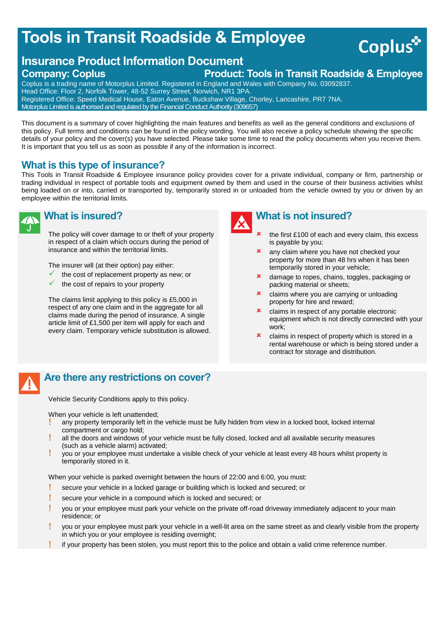# **Tools in Transit Roadside & Employee**

## **Insurance Product Information Document**

#### **Company: Coplus Product: Tools in Transit Roadside & Employee**

Coplus is a trading name of Motorplus Limited. Registered in England and Wales with Company No. 03092837. Head Office: Floor 2, Norfolk Tower, 48-52 Surrey Street, Norwich, NR1 3PA. Registered Office: Speed Medical House, Eaton Avenue, Buckshaw Village, Chorley, Lancashire, PR7 7NA. Motorplus Limited is authorised and regulated by the Financial Conduct Authority (309657)

This document is a summary of cover highlighting the main features and benefits as well as the general conditions and exclusions of this policy. Full terms and conditions can be found in the policy wording. You will also receive a policy schedule showing the specific details of your policy and the cover(s) you have selected. Please take some time to read the policy documents when you receive them. It is important that you tell us as soon as possible if any of the information is incorrect.

## **What is this type of insurance?**

This Tools in Transit Roadside & Employee insurance policy provides cover for a private individual, company or firm, partnership or trading individual in respect of portable tools and equipment owned by them and used in the course of their business activities whilst being loaded on or into, carried or transported by, temporarily stored in or unloaded from the vehicle owned by you or driven by an employee within the territorial limits.



#### **What is insured?**

The policy will cover damage to or theft of your property in respect of a claim which occurs during the period of insurance and within the territorial limits.

The insurer will (at their option) pay either:

- the cost of replacement property as new; or
- the cost of repairs to your property

The claims limit applying to this policy is £5,000 in respect of any one claim and in the aggregate for all claims made during the period of insurance. A single article limit of £1,500 per item will apply for each and every claim. Temporary vehicle substitution is allowed.



## **What is not insured?**

 the first £100 of each and every claim, this excess is payable by you;

Coplus\*

- **x** any claim where you have not checked your property for more than 48 hrs when it has been temporarily stored in your vehicle;
- **x** damage to ropes, chains, toggles, packaging or packing material or sheets;
- **x** claims where you are carrying or unloading property for hire and reward;
- **x** claims in respect of any portable electronic equipment which is not directly connected with your work;
- **x** claims in respect of property which is stored in a rental warehouse or which is being stored under a contract for storage and distribution.



## **Are there any restrictions on cover?**

Vehicle Security Conditions apply to this policy.

When your vehicle is left unattended:

- any property temporarily left in the vehicle must be fully hidden from view in a locked boot, locked internal compartment or cargo hold:
- all the doors and windows of your vehicle must be fully closed, locked and all available security measures (such as a vehicle alarm) activated;
- you or your employee must undertake a visible check of your vehicle at least every 48 hours whilst property is temporarily stored in it.

When your vehicle is parked overnight between the hours of 22:00 and 6:00, you must:

- secure your vehicle in a locked garage or building which is locked and secured; or
- secure your vehicle in a compound which is locked and secured; or
- you or your employee must park your vehicle on the private off-road driveway immediately adjacent to your main residence; or
- you or your employee must park your vehicle in a well-lit area on the same street as and clearly visible from the property in which you or your employee is residing overnight;
- if your property has been stolen, you must report this to the police and obtain a valid crime reference number.